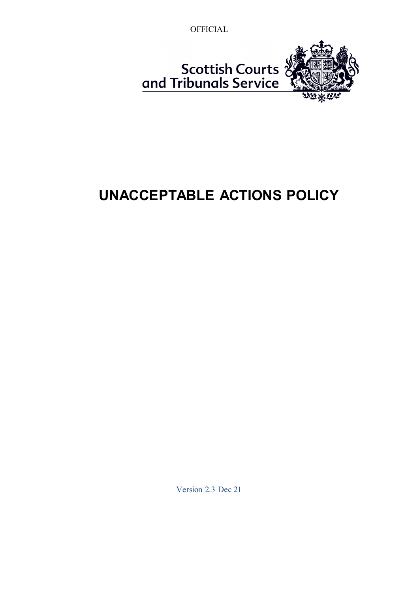

Scottish Courts?<br>and Tribunals Service

# **UNACCEPTABLE ACTIONS POLICY**

Version 2.3 Dec 21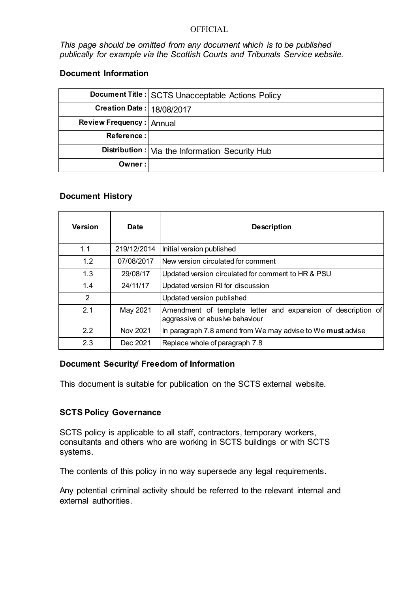*This page should be omitted from any document which is to be published publically for example via the Scottish Courts and Tribunals Service website.*

#### **Document Information**

|                                    | Document Title: SCTS Unacceptable Actions Policy  |
|------------------------------------|---------------------------------------------------|
| <b>Creation Date:   18/08/2017</b> |                                                   |
| Review Frequency:   Annual         |                                                   |
| Reference:                         |                                                   |
|                                    | Distribution :   Via the Information Security Hub |
| Owner:                             |                                                   |

#### **Document History**

| <b>Version</b> | <b>Date</b> | <b>Description</b>                                                                              |
|----------------|-------------|-------------------------------------------------------------------------------------------------|
| 1.1            | 219/12/2014 | Initial version published                                                                       |
| 1.2            | 07/08/2017  | New version circulated for comment                                                              |
| 1.3            | 29/08/17    | Updated version circulated for comment to HR & PSU                                              |
| 1.4            | 24/11/17    | Updated version RI for discussion                                                               |
| $\overline{2}$ |             | Updated version published                                                                       |
| 2.1            | May 2021    | Amendment of template letter and expansion of description of<br>aggressive or abusive behaviour |
| 2.2            | Nov 2021    | In paragraph 7.8 amend from We may advise to We must advise                                     |
| 2.3            | Dec 2021    | Replace whole of paragraph 7.8                                                                  |

#### **Document Security/ Freedom of Information**

This document is suitable for publication on the SCTS external website.

#### **SCTS Policy Governance**

SCTS policy is applicable to all staff, contractors, temporary workers, consultants and others who are working in SCTS buildings or with SCTS systems.

The contents of this policy in no way supersede any legal requirements.

Any potential criminal activity should be referred to the relevant internal and external authorities.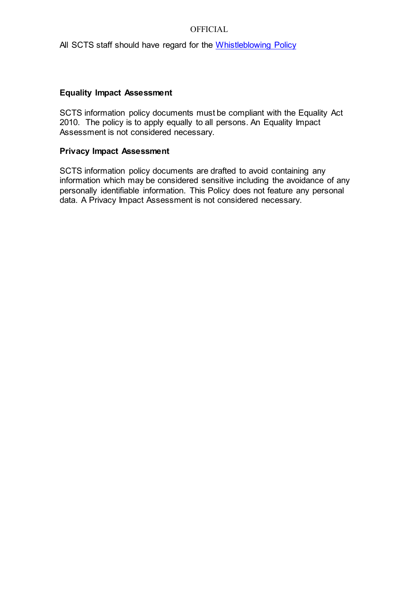All SCTS staff should have regard for the [Whistleblowing Policy](http://myscs/sections/policies.aspx?pagei=161§ion=policies&link=S_to_Z&ParentID=0)

#### **Equality Impact Assessment**

SCTS information policy documents must be compliant with the Equality Act 2010. The policy is to apply equally to all persons. An Equality Impact Assessment is not considered necessary.

#### **Privacy Impact Assessment**

SCTS information policy documents are drafted to avoid containing any information which may be considered sensitive including the avoidance of any personally identifiable information. This Policy does not feature any personal data. A Privacy Impact Assessment is not considered necessary.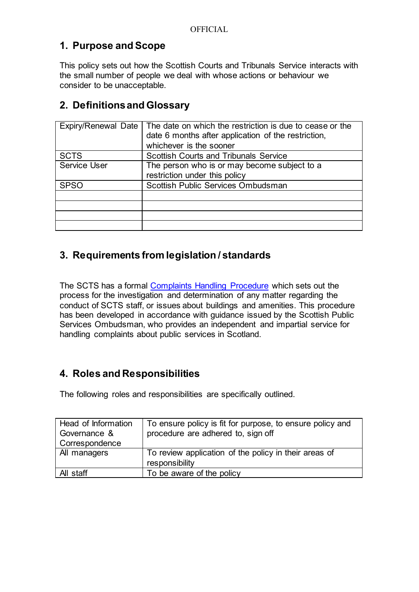# **1. Purpose and Scope**

This policy sets out how the Scottish Courts and Tribunals Service interacts with the small number of people we deal with whose actions or behaviour we consider to be unacceptable.

# **2. Definitions and Glossary**

| Expiry/Renewal Date | The date on which the restriction is due to cease or the<br>date 6 months after application of the restriction,<br>whichever is the sooner |
|---------------------|--------------------------------------------------------------------------------------------------------------------------------------------|
| <b>SCTS</b>         | <b>Scottish Courts and Tribunals Service</b>                                                                                               |
| <b>Service User</b> | The person who is or may become subject to a<br>restriction under this policy                                                              |
| <b>SPSO</b>         | Scottish Public Services Ombudsman                                                                                                         |
|                     |                                                                                                                                            |
|                     |                                                                                                                                            |
|                     |                                                                                                                                            |
|                     |                                                                                                                                            |

# **3. Requirements from legislation / standards**

The SCTS has a formal [Complaints Handling Procedure](https://www.scotcourts.gov.uk/about-the-scottish-court-service/complaints-and-feedback/scs-complaints-procedure) which sets out the process for the investigation and determination of any matter regarding the conduct of SCTS staff, or issues about buildings and amenities. This procedure has been developed in accordance with guidance issued by the Scottish Public Services Ombudsman, who provides an independent and impartial service for handling complaints about public services in Scotland.

# **4. Roles and Responsibilities**

The following roles and responsibilities are specifically outlined.

| Head of Information<br>Governance &<br>Correspondence | To ensure policy is fit for purpose, to ensure policy and<br>procedure are adhered to, sign off |
|-------------------------------------------------------|-------------------------------------------------------------------------------------------------|
| All managers                                          | To review application of the policy in their areas of<br>responsibility                         |
| All staff                                             | To be aware of the policy                                                                       |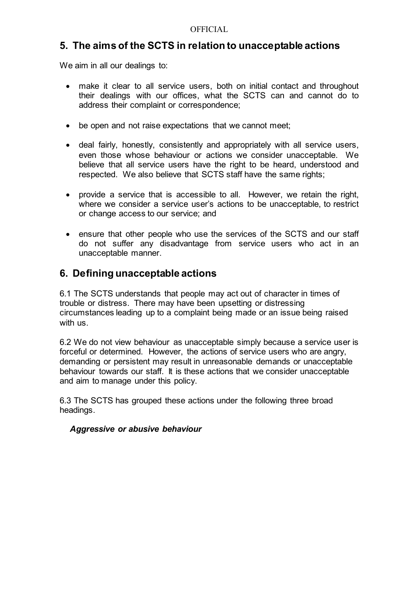## **5. The aims of the SCTS in relation to unacceptable actions**

We aim in all our dealings to:

- make it clear to all service users, both on initial contact and throughout their dealings with our offices, what the SCTS can and cannot do to address their complaint or correspondence;
- be open and not raise expectations that we cannot meet;
- deal fairly, honestly, consistently and appropriately with all service users, even those whose behaviour or actions we consider unacceptable. We believe that all service users have the right to be heard, understood and respected. We also believe that SCTS staff have the same rights;
- provide a service that is accessible to all. However, we retain the right, where we consider a service user's actions to be unacceptable, to restrict or change access to our service; and
- ensure that other people who use the services of the SCTS and our staff do not suffer any disadvantage from service users who act in an unacceptable manner.

## **6. Defining unacceptable actions**

6.1 The SCTS understands that people may act out of character in times of trouble or distress. There may have been upsetting or distressing circumstances leading up to a complaint being made or an issue being raised with us.

6.2 We do not view behaviour as unacceptable simply because a service user is forceful or determined. However, the actions of service users who are angry, demanding or persistent may result in unreasonable demands or unacceptable behaviour towards our staff. It is these actions that we consider unacceptable and aim to manage under this policy.

6.3 The SCTS has grouped these actions under the following three broad headings.

#### *Aggressive or abusive behaviour*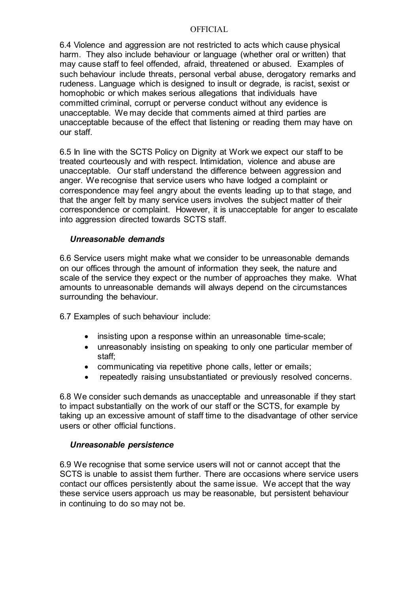6.4 Violence and aggression are not restricted to acts which cause physical harm. They also include behaviour or language (whether oral or written) that may cause staff to feel offended, afraid, threatened or abused. Examples of such behaviour include threats, personal verbal abuse, derogatory remarks and rudeness. Language which is designed to insult or degrade, is racist, sexist or homophobic or which makes serious allegations that individuals have committed criminal, corrupt or perverse conduct without any evidence is unacceptable. We may decide that comments aimed at third parties are unacceptable because of the effect that listening or reading them may have on our staff.

6.5 In line with the SCTS Policy on Dignity at Work we expect our staff to be treated courteously and with respect. Intimidation, violence and abuse are unacceptable. Our staff understand the difference between aggression and anger. We recognise that service users who have lodged a complaint or correspondence may feel angry about the events leading up to that stage, and that the anger felt by many service users involves the subject matter of their correspondence or complaint. However, it is unacceptable for anger to escalate into aggression directed towards SCTS staff.

#### *Unreasonable demands*

6.6 Service users might make what we consider to be unreasonable demands on our offices through the amount of information they seek, the nature and scale of the service they expect or the number of approaches they make. What amounts to unreasonable demands will always depend on the circumstances surrounding the behaviour.

6.7 Examples of such behaviour include:

- insisting upon a response within an unreasonable time-scale;
- unreasonably insisting on speaking to only one particular member of staff;
- communicating via repetitive phone calls, letter or emails;
- repeatedly raising unsubstantiated or previously resolved concerns.

6.8 We consider such demands as unacceptable and unreasonable if they start to impact substantially on the work of our staff or the SCTS, for example by taking up an excessive amount of staff time to the disadvantage of other service users or other official functions.

#### *Unreasonable persistence*

6.9 We recognise that some service users will not or cannot accept that the SCTS is unable to assist them further. There are occasions where service users contact our offices persistently about the same issue. We accept that the way these service users approach us may be reasonable, but persistent behaviour in continuing to do so may not be.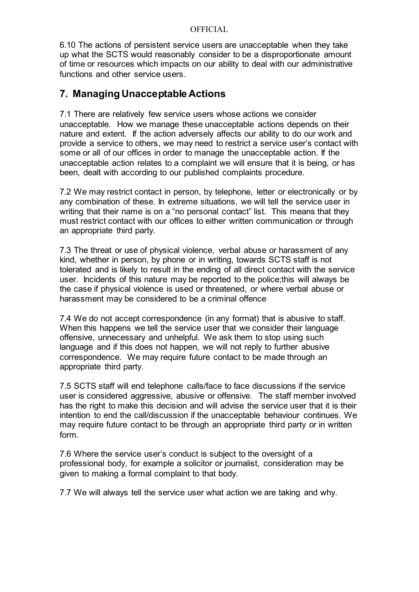6.10 The actions of persistent service users are unacceptable when they take up what the SCTS would reasonably consider to be a disproportionate amount of time or resources which impacts on our ability to deal with our administrative functions and other service users.

## **7. Managing Unacceptable Actions**

7.1 There are relatively few service users whose actions we consider unacceptable. How we manage these unacceptable actions depends on their nature and extent. If the action adversely affects our ability to do our work and provide a service to others, we may need to restrict a service user's contact with some or all of our offices in order to manage the unacceptable action. If the unacceptable action relates to a complaint we will ensure that it is being, or has been, dealt with according to our published complaints procedure.

7.2 We may restrict contact in person, by telephone, letter or electronically or by any combination of these. In extreme situations, we will tell the service user in writing that their name is on a "no personal contact" list. This means that they must restrict contact with our offices to either written communication or through an appropriate third party.

7.3 The threat or use of physical violence, verbal abuse or harassment of any kind, whether in person, by phone or in writing, towards SCTS staff is not tolerated and is likely to result in the ending of all direct contact with the service user. Incidents of this nature may be reported to the police;this will always be the case if physical violence is used or threatened, or where verbal abuse or harassment may be considered to be a criminal offence

7.4 We do not accept correspondence (in any format) that is abusive to staff. When this happens we tell the service user that we consider their language offensive, unnecessary and unhelpful. We ask them to stop using such language and if this does not happen, we will not reply to further abusive correspondence. We may require future contact to be made through an appropriate third party.

7.5 SCTS staff will end telephone calls/face to face discussions if the service user is considered aggressive, abusive or offensive. The staff member involved has the right to make this decision and will advise the service user that it is their intention to end the call/discussion if the unacceptable behaviour continues. We may require future contact to be through an appropriate third party or in written form.

7.6 Where the service user's conduct is subject to the oversight of a professional body, for example a solicitor or journalist, consideration may be given to making a formal complaint to that body.

7.7 We will always tell the service user what action we are taking and why.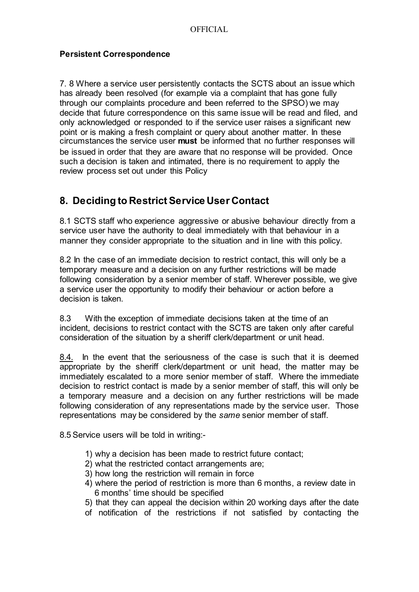#### **Persistent Correspondence**

7. 8 Where a service user persistently contacts the SCTS about an issue which has already been resolved (for example via a complaint that has gone fully through our complaints procedure and been referred to the SPSO) we may decide that future correspondence on this same issue will be read and filed, and only acknowledged or responded to if the service user raises a significant new point or is making a fresh complaint or query about another matter. In these circumstances the service user **must** be informed that no further responses will be issued in order that they are aware that no response will be provided. Once such a decision is taken and intimated, there is no requirement to apply the review process set out under this Policy

# **8. Deciding to Restrict Service User Contact**

8.1 SCTS staff who experience aggressive or abusive behaviour directly from a service user have the authority to deal immediately with that behaviour in a manner they consider appropriate to the situation and in line with this policy.

8.2 In the case of an immediate decision to restrict contact, this will only be a temporary measure and a decision on any further restrictions will be made following consideration by a senior member of staff. Wherever possible, we give a service user the opportunity to modify their behaviour or action before a decision is taken.

8.3 With the exception of immediate decisions taken at the time of an incident, decisions to restrict contact with the SCTS are taken only after careful consideration of the situation by a sheriff clerk/department or unit head.

8.4. In the event that the seriousness of the case is such that it is deemed appropriate by the sheriff clerk/department or unit head, the matter may be immediately escalated to a more senior member of staff. Where the immediate decision to restrict contact is made by a senior member of staff, this will only be a temporary measure and a decision on any further restrictions will be made following consideration of any representations made by the service user. Those representations may be considered by the *same* senior member of staff.

8.5 Service users will be told in writing:-

- 1) why a decision has been made to restrict future contact;
- 2) what the restricted contact arrangements are;
- 3) how long the restriction will remain in force
- 4) where the period of restriction is more than 6 months, a review date in 6 months' time should be specified
- 5) that they can appeal the decision within 20 working days after the date
- of notification of the restrictions if not satisfied by contacting the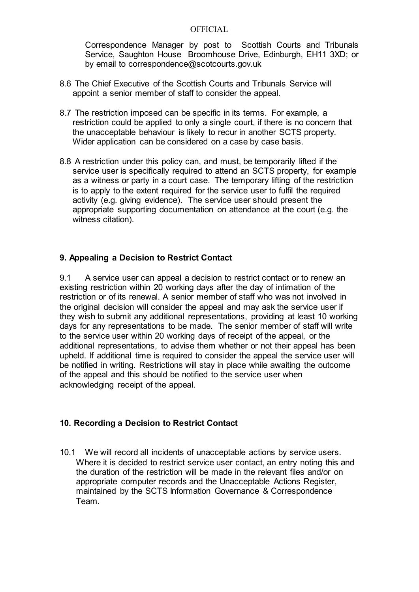Correspondence Manager by post to Scottish Courts and Tribunals Service, Saughton House Broomhouse Drive, Edinburgh, EH11 3XD; or by email to correspondence@scotcourts.gov.uk

- 8.6 The Chief Executive of the Scottish Courts and Tribunals Service will appoint a senior member of staff to consider the appeal.
- 8.7 The restriction imposed can be specific in its terms. For example, a restriction could be applied to only a single court, if there is no concern that the unacceptable behaviour is likely to recur in another SCTS property. Wider application can be considered on a case by case basis.
- 8.8 A restriction under this policy can, and must, be temporarily lifted if the service user is specifically required to attend an SCTS property, for example as a witness or party in a court case. The temporary lifting of the restriction is to apply to the extent required for the service user to fulfil the required activity (e.g. giving evidence). The service user should present the appropriate supporting documentation on attendance at the court (e.g. the witness citation).

#### **9. Appealing a Decision to Restrict Contact**

9.1 A service user can appeal a decision to restrict contact or to renew an existing restriction within 20 working days after the day of intimation of the restriction or of its renewal. A senior member of staff who was not involved in the original decision will consider the appeal and may ask the service user if they wish to submit any additional representations, providing at least 10 working days for any representations to be made. The senior member of staff will write to the service user within 20 working days of receipt of the appeal, or the additional representations, to advise them whether or not their appeal has been upheld. If additional time is required to consider the appeal the service user will be notified in writing. Restrictions will stay in place while awaiting the outcome of the appeal and this should be notified to the service user when acknowledging receipt of the appeal.

#### **10. Recording a Decision to Restrict Contact**

10.1 We will record all incidents of unacceptable actions by service users. Where it is decided to restrict service user contact, an entry noting this and the duration of the restriction will be made in the relevant files and/or on appropriate computer records and the Unacceptable Actions Register, maintained by the SCTS Information Governance & Correspondence Team.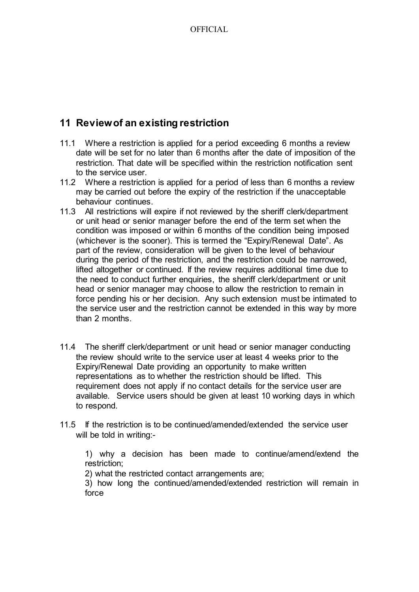# **11 Reviewof an existing restriction**

- 11.1 Where a restriction is applied for a period exceeding 6 months a review date will be set for no later than 6 months after the date of imposition of the restriction. That date will be specified within the restriction notification sent to the service user.
- 11.2 Where a restriction is applied for a period of less than 6 months a review may be carried out before the expiry of the restriction if the unacceptable behaviour continues.
- 11.3 All restrictions will expire if not reviewed by the sheriff clerk/department or unit head or senior manager before the end of the term set when the condition was imposed or within 6 months of the condition being imposed (whichever is the sooner). This is termed the "Expiry/Renewal Date". As part of the review, consideration will be given to the level of behaviour during the period of the restriction, and the restriction could be narrowed, lifted altogether or continued. If the review requires additional time due to the need to conduct further enquiries, the sheriff clerk/department or unit head or senior manager may choose to allow the restriction to remain in force pending his or her decision. Any such extension must be intimated to the service user and the restriction cannot be extended in this way by more than 2 months.
- 11.4 The sheriff clerk/department or unit head or senior manager conducting the review should write to the service user at least 4 weeks prior to the Expiry/Renewal Date providing an opportunity to make written representations as to whether the restriction should be lifted. This requirement does not apply if no contact details for the service user are available. Service users should be given at least 10 working days in which to respond.
- 11.5 If the restriction is to be continued/amended/extended the service user will be told in writing:-

1) why a decision has been made to continue/amend/extend the restriction;

2) what the restricted contact arrangements are;

3) how long the continued/amended/extended restriction will remain in force